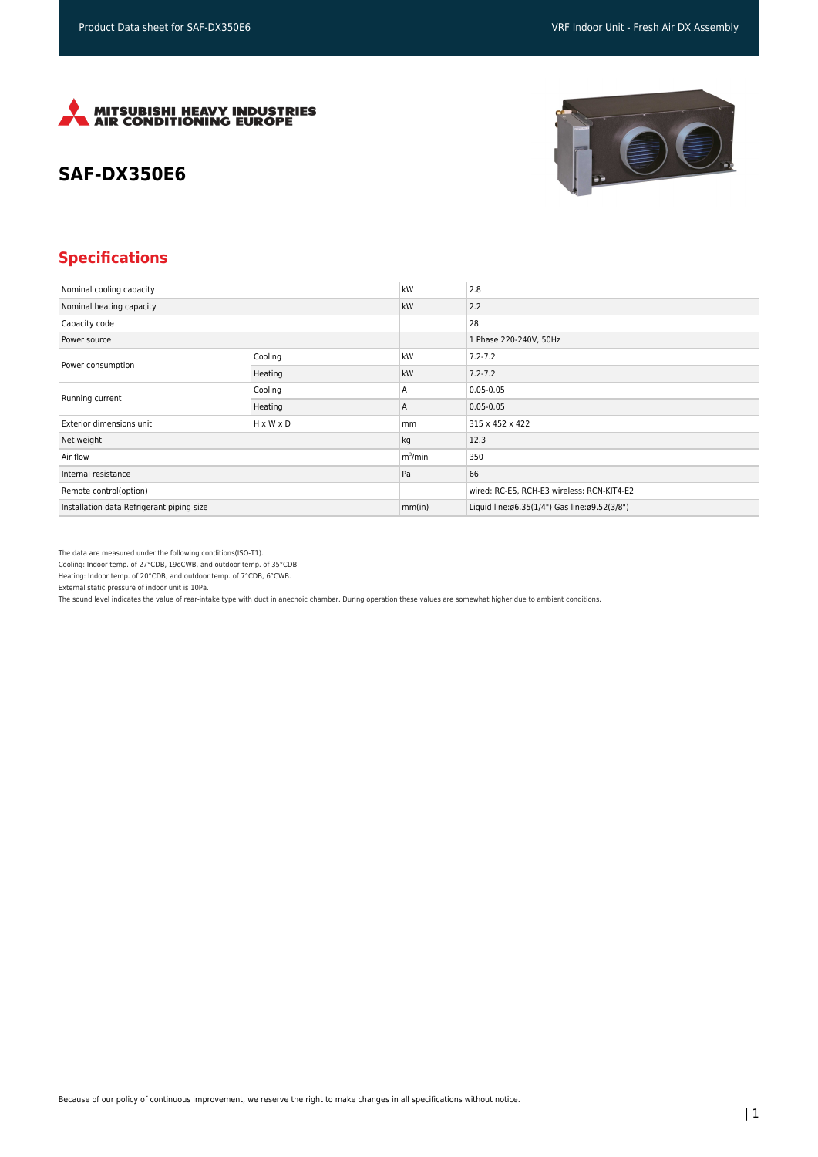

## **SAF-DX350E6**





## **Specifications**

| Nominal cooling capacity                  |                       | kW         | 2.8                                          |
|-------------------------------------------|-----------------------|------------|----------------------------------------------|
| Nominal heating capacity                  |                       | kW         | 2.2                                          |
| Capacity code                             |                       |            | 28                                           |
| Power source                              |                       |            | 1 Phase 220-240V, 50Hz                       |
| Power consumption                         | Cooling               | kW         | $7.2 - 7.2$                                  |
|                                           | Heating               | kW         | $7.2 - 7.2$                                  |
| Running current                           | Cooling               | A          | $0.05 - 0.05$                                |
|                                           | Heating               | A          | $0.05 - 0.05$                                |
| Exterior dimensions unit                  | $H \times W \times D$ | mm         | 315 x 452 x 422                              |
| Net weight                                |                       | kg         | 12.3                                         |
| Air flow                                  |                       | $m^3$ /min | 350                                          |
| Internal resistance                       |                       | Pa         | 66                                           |
| Remote control(option)                    |                       |            | wired: RC-E5, RCH-E3 wireless: RCN-KIT4-E2   |
| Installation data Refrigerant piping size |                       | mm(in)     | Liquid line:ø6.35(1/4") Gas line:ø9.52(3/8") |

The data are measured under the following conditions(ISO-T1).

Cooling: Indoor temp. of 27°CDB, 19oCWB, and outdoor temp. of 35°CDB.

Heating: Indoor temp. of 20°CDB, and outdoor temp. of 7°CDB, 6°CWB.

External static pressure of indoor unit is 10Pa.

The sound level indicates the value of rear-intake type with duct in anechoic chamber. During operation these values are somewhat higher due to ambient conditions.